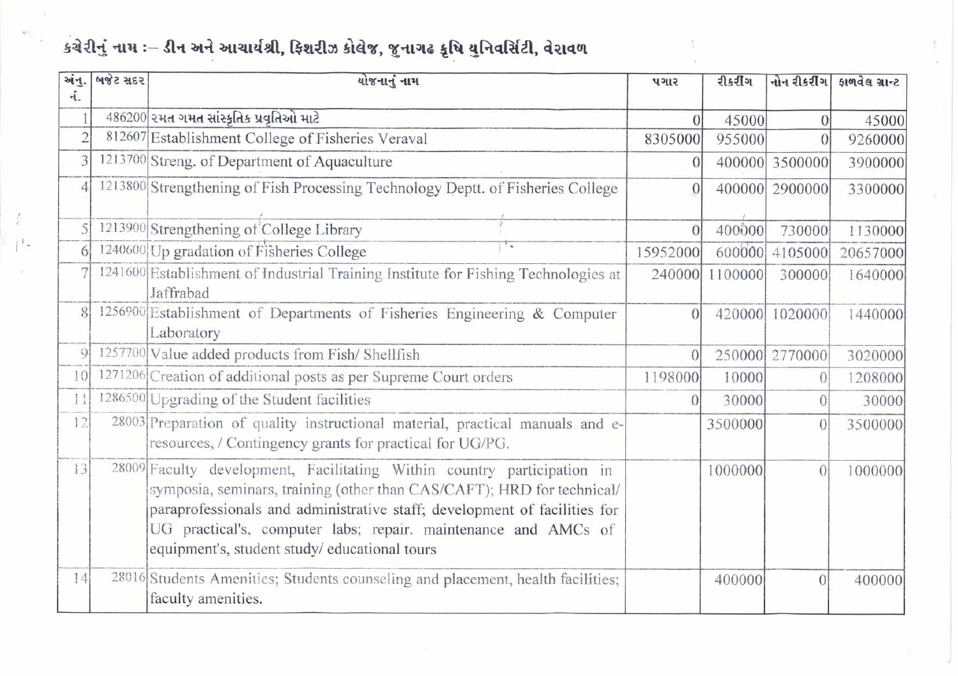## કચેરીનું નામ ઃ– ડીન અને આચાર્યશ્રી, ફિશરીઝ કોલેજ, જુનાગઢ કૃષિ યુનિવર્સિટી, વેરાવળ

 $\mathbb{L}$ 

| અંન.            | બજેટ સદર | યોજનાનું નામ                                                                                                                                                                                                                                                                                                                                     | પગાર            | रीक्ष्टींग     | નોન રીકરીંગ    | इत्यादेख ग्रान्ट |
|-----------------|----------|--------------------------------------------------------------------------------------------------------------------------------------------------------------------------------------------------------------------------------------------------------------------------------------------------------------------------------------------------|-----------------|----------------|----------------|------------------|
| નં.             |          |                                                                                                                                                                                                                                                                                                                                                  |                 |                |                |                  |
| 1               |          | 486200 રમત ગમત સાંસ્કૃતિક પ્રવૃતિઓ માટે                                                                                                                                                                                                                                                                                                          | $\overline{0}$  | 45000          | $\Omega$       | 45000            |
| $\overline{2}$  |          | 812607 Establishment College of Fisheries Veraval                                                                                                                                                                                                                                                                                                | 8305000         | 955000         |                | 9260000          |
| 3               |          | 1213700 Streng. of Department of Aquaculture                                                                                                                                                                                                                                                                                                     | $\vert 0 \vert$ |                | 400000 3500000 | 3900000          |
| $\overline{4}$  |          | 1213800 Strengthening of Fish Processing Technology Deptt. of Fisheries College                                                                                                                                                                                                                                                                  | $\theta$        |                | 400000 2900000 | 3300000          |
| 5               |          | 1213900 Strengthening of College Library                                                                                                                                                                                                                                                                                                         | $\overline{0}$  | 400000         | 730000         | 1130000          |
| 6               |          | T W<br>1240600 Up gradation of Fisheries College                                                                                                                                                                                                                                                                                                 | 15952000        |                | 600000 4105000 | 20657000         |
|                 |          | 1241600 Establishment of Industrial Training Institute for Fishing Technologies at<br>Jaffrabad                                                                                                                                                                                                                                                  |                 | 240000 1100000 | 300000         | 1640000          |
| 8               |          | 1256900 Establishment of Departments of Fisheries Engineering & Computer<br>Laboratory                                                                                                                                                                                                                                                           | $\Omega$        |                | 420000 1020000 | 1440000          |
| Q               |          | 1257700 Value added products from Fish/Shellfish                                                                                                                                                                                                                                                                                                 |                 |                | 250000 2770000 | 3020000          |
| 10 <sup>1</sup> |          | 1271206 Creation of additional posts as per Supreme Court orders                                                                                                                                                                                                                                                                                 | 1198000         | 10000          | $\Omega$       | 1208000          |
| 11              |          | 1286500 Upgrading of the Student facilities                                                                                                                                                                                                                                                                                                      | $\Omega$        | 30000          | $\Omega$       | 30000            |
| 2               |          | 28003 Preparation of quality instructional material, practical manuals and e-<br>resources, / Contingency grants for practical for UG/PG.                                                                                                                                                                                                        |                 | 3500000        | $\theta$       | 3500000          |
| 13              |          | 28009 Faculty development, Facilitating Within country participation in<br>symposia, seminars, training (other than CAS/CAFT); HRD for technical/<br>paraprofessionals and administrative staff; development of facilities for<br>UG practical's, computer labs; repair. maintenance and AMCs of<br>equipment's, student study/educational tours |                 | 1000000        | $\theta$       | 1000000          |
| 4               |          | 28016 Students Amenities; Students counseling and placement, health facilities;<br>faculty amenities.                                                                                                                                                                                                                                            |                 | 400000         | $\theta$       | 400000           |